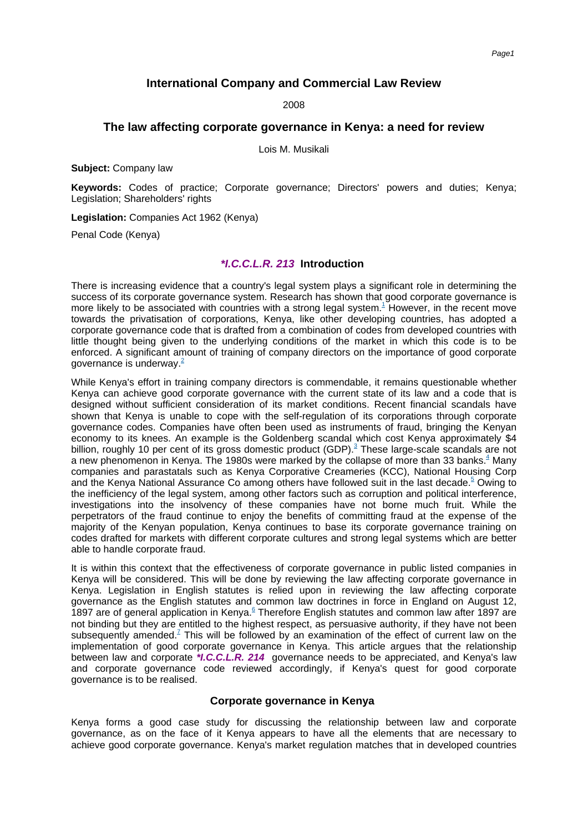# **International Company and Commercial Law Review**

2008

## **The law affecting corporate governance in Kenya: a need for review**

Lois M. Musikali

**Subject:** Company law

**Keywords:** Codes of practice; Corporate governance; Directors' powers and duties; Kenya; Legislation; Shareholders' rights

**Legislation:** Companies Act 1962 (Kenya)

Penal Code (Kenya)

#### **\*I.C.C.L.R. 213 Introduction**

There is increasing evidence that a country's legal system plays a significant role in determining the success of its corporate governance system. Research has shown that good corporate governance is more likely to be associated with countries with a strong legal [system.](#page-13-0)<sup>1</sup> However, in the recent move towards the privatisation of corporations, Kenya, like other developing countries, has adopted a corporate governance code that is drafted from a combination of codes from developed countries with little thought being given to the underlying conditions of the market in which this code is to be enforced. A significant amount of training of company directors on the importance of good corporate governance i[s underway.](#page-13-1) $2$ 

While Kenya's effort in training company directors is commendable, it remains questionable whether Kenya can achieve good corporate governance with the current state of its law and a code that is designed without sufficient consideration of its market conditions. Recent financial scandals have shown that Kenya is unable to cope with the self-regulation of its corporations through corporate governance codes. Companies have often been used as instruments of fraud, bringing the Kenyan economy to its knees. An example is the Goldenberg scandal which cost Kenya approximately \$4 billion, roughly 10 per cent of its gross domestic product [\(GDP\).](#page-13-2)<sup>3</sup> These large-scale scandals are not a new phenomenon in Kenya. The 1980s were marked by the collapse of more than 33 [banks.](#page-13-3) $4$  Many companies and parastatals such as Kenya Corporative Creameries (KCC), National Housing Corp and the Kenya National Assurance Co among others have followed suit in the last [decade.](#page-13-4)<sup>5</sup> Owing to the inefficiency of the legal system, among other factors such as corruption and political interference, investigations into the insolvency of these companies have not borne much fruit. While the perpetrators of the fraud continue to enjoy the benefits of committing fraud at the expense of the majority of the Kenyan population, Kenya continues to base its corporate governance training on codes drafted for markets with different corporate cultures and strong legal systems which are better able to handle corporate fraud.

It is within this context that the effectiveness of corporate governance in public listed companies in Kenya will be considered. This will be done by reviewing the law affecting corporate governance in Kenya. Legislation in English statutes is relied upon in reviewing the law affecting corporate governance as the English statutes and common law doctrines in force in England on August 12, 1897 are of general application in [Kenya.](#page-13-5) $^6$  Therefore English statutes and common law after 1897 are not binding but they are entitled to the highest respect, as persuasive authority, if they have not been subsequently [amended.](#page-13-6)<sup> $7$ </sup> This will be followed by an examination of the effect of current law on the implementation of good corporate governance in Kenya. This article argues that the relationship between law and corporate **\*I.C.C.L.R. 214** governance needs to be appreciated, and Kenya's law and corporate governance code reviewed accordingly, if Kenya's quest for good corporate governance is to be realised.

#### **Corporate governance in Kenya**

Kenya forms a good case study for discussing the relationship between law and corporate governance, as on the face of it Kenya appears to have all the elements that are necessary to achieve good corporate governance. Kenya's market regulation matches that in developed countries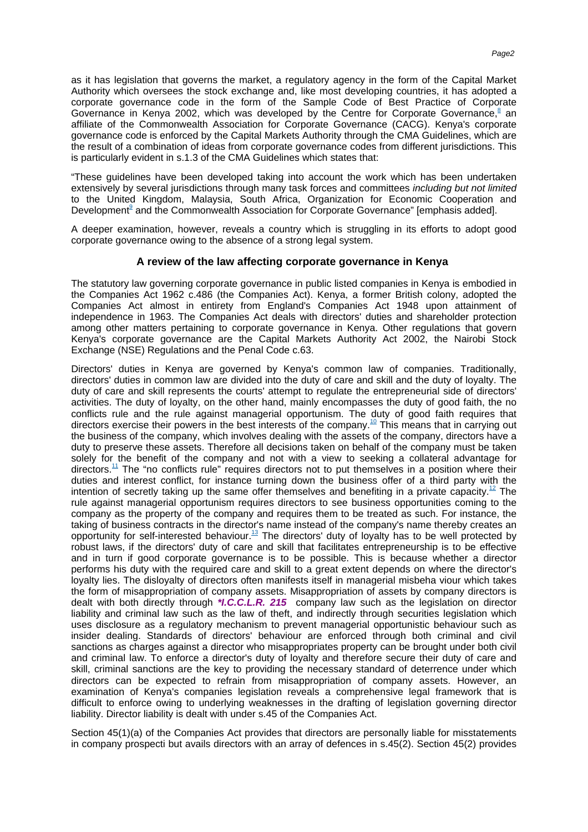as it has legislation that governs the market, a regulatory agency in the form of the Capital Market Authority which oversees the stock exchange and, like most developing countries, it has adopted a corporate governance code in the form of the Sample Code of Best Practice of Corporate Governance in Kenya 2002, which was developed by the Centre for Corporate [Governance,](#page-13-7)<sup>8</sup> an affiliate of the Commonwealth Association for Corporate Governance (CACG). Kenya's corporate governance code is enforced by the Capital Markets Authority through the CMA Guidelines, which are the result of a combination of ideas from corporate governance codes from different jurisdictions. This is particularly evident in s.1.3 of the CMA Guidelines which states that:

"These guidelines have been developed taking into account the work which has been undertaken extensively by several jurisdictions through many task forces and committees including but not limited to the United Kingdom, Malaysia, South Africa, Organization for Economic Cooperation and [Development](#page-13-8)<sup>9</sup> and the Commonwealth Association for Corporate Governance" [emphasis added].

A deeper examination, however, reveals a country which is struggling in its efforts to adopt good corporate governance owing to the absence of a strong legal system.

## **A review of the law affecting corporate governance in Kenya**

The statutory law governing corporate governance in public listed companies in Kenya is embodied in the Companies Act 1962 c.486 (the Companies Act). Kenya, a former British colony, adopted the Companies Act almost in entirety from England's Companies Act 1948 upon attainment of independence in 1963. The Companies Act deals with directors' duties and shareholder protection among other matters pertaining to corporate governance in Kenya. Other regulations that govern Kenya's corporate governance are the Capital Markets Authority Act 2002, the Nairobi Stock Exchange (NSE) Regulations and the Penal Code c.63.

Directors' duties in Kenya are governed by Kenya's common law of companies. Traditionally, directors' duties in common law are divided into the duty of care and skill and the duty of loyalty. The duty of care and skill represents the courts' attempt to regulate the entrepreneurial side of directors' activities. The duty of loyalty, on the other hand, mainly encompasses the duty of good faith, the no conflicts rule and the rule against managerial opportunism. The duty of good faith requires that directors exercise their powers in the best interests of the [company.](#page-13-9)<sup>10</sup> This means that in carrying out the business of the company, which involves dealing with the assets of the company, directors have a duty to preserve these assets. Therefore all decisions taken on behalf of the company must be taken solely for the benefit of the company and not with a view to seeking a collateral advantage for [directors.](#page-13-10)<sup>11</sup> The "no conflicts rule" requires directors not to put themselves in a position where their duties and interest conflict, for instance turning down the business offer of a third party with the intention of secretly taking up the same offer themselves and benefiting in a private [capacity.](#page-13-11)<sup>12</sup> The rule against managerial opportunism requires directors to see business opportunities coming to the company as the property of the company and requires them to be treated as such. For instance, the taking of business contracts in the director's name instead of the company's name thereby creates an opportunity for self-interested [behaviour.](#page-13-12) $13$  The directors' duty of loyalty has to be well protected by robust laws, if the directors' duty of care and skill that facilitates entrepreneurship is to be effective and in turn if good corporate governance is to be possible. This is because whether a director performs his duty with the required care and skill to a great extent depends on where the director's loyalty lies. The disloyalty of directors often manifests itself in managerial misbeha viour which takes the form of misappropriation of company assets. Misappropriation of assets by company directors is dealt with both directly through **\*I.C.C.L.R. 215** company law such as the legislation on director liability and criminal law such as the law of theft, and indirectly through securities legislation which uses disclosure as a regulatory mechanism to prevent managerial opportunistic behaviour such as insider dealing. Standards of directors' behaviour are enforced through both criminal and civil sanctions as charges against a director who misappropriates property can be brought under both civil and criminal law. To enforce a director's duty of loyalty and therefore secure their duty of care and skill, criminal sanctions are the key to providing the necessary standard of deterrence under which directors can be expected to refrain from misappropriation of company assets. However, an examination of Kenya's companies legislation reveals a comprehensive legal framework that is difficult to enforce owing to underlying weaknesses in the drafting of legislation governing director liability. Director liability is dealt with under s.45 of the Companies Act.

Section 45(1)(a) of the Companies Act provides that directors are personally liable for misstatements in company prospecti but avails directors with an array of defences in s.45(2). Section 45(2) provides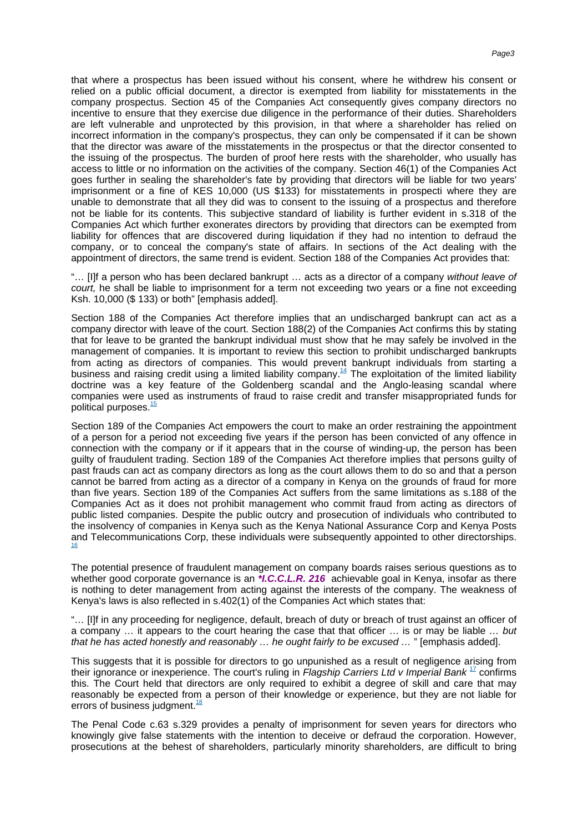that where a prospectus has been issued without his consent, where he withdrew his consent or relied on a public official document, a director is exempted from liability for misstatements in the company prospectus. Section 45 of the Companies Act consequently gives company directors no incentive to ensure that they exercise due diligence in the performance of their duties. Shareholders are left vulnerable and unprotected by this provision, in that where a shareholder has relied on incorrect information in the company's prospectus, they can only be compensated if it can be shown that the director was aware of the misstatements in the prospectus or that the director consented to the issuing of the prospectus. The burden of proof here rests with the shareholder, who usually has access to little or no information on the activities of the company. Section 46(1) of the Companies Act goes further in sealing the shareholder's fate by providing that directors will be liable for two years' imprisonment or a fine of KES 10,000 (US \$133) for misstatements in prospecti where they are unable to demonstrate that all they did was to consent to the issuing of a prospectus and therefore not be liable for its contents. This subjective standard of liability is further evident in s.318 of the Companies Act which further exonerates directors by providing that directors can be exempted from liability for offences that are discovered during liquidation if they had no intention to defraud the company, or to conceal the company's state of affairs. In sections of the Act dealing with the appointment of directors, the same trend is evident. Section 188 of the Companies Act provides that:

"… [I]f a person who has been declared bankrupt … acts as a director of a company without leave of court, he shall be liable to imprisonment for a term not exceeding two years or a fine not exceeding Ksh. 10,000 (\$ 133) or both" [emphasis added].

Section 188 of the Companies Act therefore implies that an undischarged bankrupt can act as a company director with leave of the court. Section 188(2) of the Companies Act confirms this by stating that for leave to be granted the bankrupt individual must show that he may safely be involved in the management of companies. It is important to review this section to prohibit undischarged bankrupts from acting as directors of companies. This would prevent bankrupt individuals from starting a business and raising credit using a limited liability [company.](#page-13-13)<sup>14</sup> The exploitation of the limited liability doctrine was a key feature of the Goldenberg scandal and the Anglo-leasing scandal where companies were used as instruments of fraud to raise credit and transfer misappropriated funds for politica[l purposes.](#page-13-14)<sup>15</sup>

Section 189 of the Companies Act empowers the court to make an order restraining the appointment of a person for a period not exceeding five years if the person has been convicted of any offence in connection with the company or if it appears that in the course of winding-up, the person has been guilty of fraudulent trading. Section 189 of the Companies Act therefore implies that persons guilty of past frauds can act as company directors as long as the court allows them to do so and that a person cannot be barred from acting as a director of a company in Kenya on the grounds of fraud for more than five years. Section 189 of the Companies Act suffers from the same limitations as s.188 of the Companies Act as it does not prohibit management who commit fraud from acting as directors of public listed companies. Despite the public outcry and prosecution of individuals who contributed to the insolvency of companies in Kenya such as the Kenya National Assurance Corp and Kenya Posts and Telecommunications Corp, these individuals were subsequently appointed to othe[r directorships.](#page-13-15) [16](#page-13-15)

The potential presence of fraudulent management on company boards raises serious questions as to whether good corporate governance is an **\****I.C.C.L.R.* **216** achievable goal in Kenya, insofar as there is nothing to deter management from acting against the interests of the company. The weakness of Kenya's laws is also reflected in s.402(1) of the Companies Act which states that:

"… [I]f in any proceeding for negligence, default, breach of duty or breach of trust against an officer of a company … it appears to the court hearing the case that that officer … is or may be liable … but that he has acted honestly and reasonably … he ought fairly to be excused … " [emphasis added].

This suggests that it is possible for directors to go unpunished as a result of negligence arising from their ignorance or inexperience. The court's ruling in Flagship Carriers Ltd v Imperial Bank  $^{17}$  $^{17}$  $^{17}$  confirms this. The Court held that directors are only required to exhibit a degree of skill and care that may reasonably be expected from a person of their knowledge or experience, but they are not liable for errors of busines[s judgment.](#page-13-17) $18$ 

The Penal Code c.63 s.329 provides a penalty of imprisonment for seven years for directors who knowingly give false statements with the intention to deceive or defraud the corporation. However, prosecutions at the behest of shareholders, particularly minority shareholders, are difficult to bring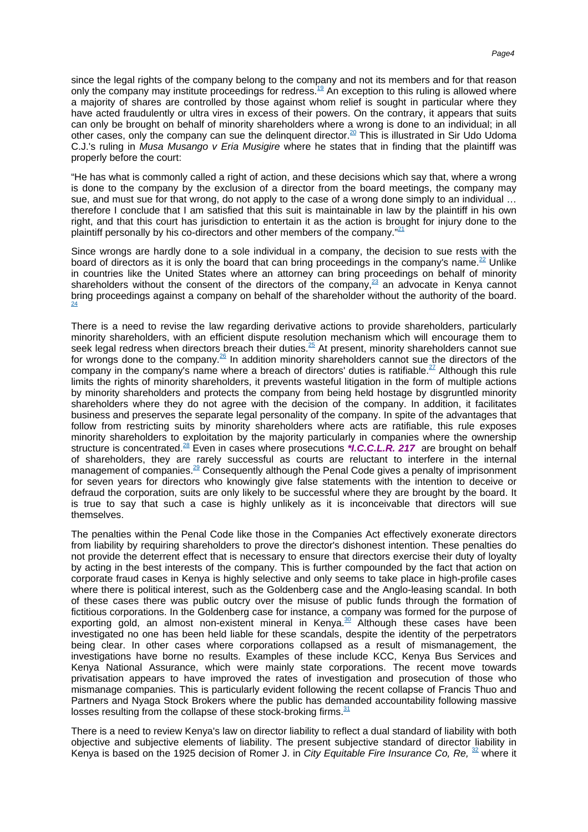since the legal rights of the company belong to the company and not its members and for that reason only the company may institute proceedings for [redress.](#page-13-18)<sup>19</sup> An exception to this ruling is allowed where a majority of shares are controlled by those against whom relief is sought in particular where they have acted fraudulently or ultra vires in excess of their powers. On the contrary, it appears that suits can only be brought on behalf of minority shareholders where a wrong is done to an individual; in all other cases, only the company can sue the delinquent [director.](#page-14-0)<sup>20</sup> This is illustrated in Sir Udo Udoma C.J.'s ruling in Musa Musango v Eria Musigire where he states that in finding that the plaintiff was properly before the court:

"He has what is commonly called a right of action, and these decisions which say that, where a wrong is done to the company by the exclusion of a director from the board meetings, the company may sue, and must sue for that wrong, do not apply to the case of a wrong done simply to an individual … therefore I conclude that I am satisfied that this suit is maintainable in law by the plaintiff in his own right, and that this court has jurisdiction to entertain it as the action is brought for injury done to the plaintiff personally by his co-directors and other members of th[e company."](#page-14-1)<sup>21</sup>

Since wrongs are hardly done to a sole individual in a company, the decision to sue rests with the board of directors as it is only the board that can bring proceedings in the company's [name.](#page-14-2)<sup>22</sup> Unlike in countries like the United States where an attorney can bring proceedings on behalf of minority shareholders without the consent of the directors of the [company,](#page-14-3) $^{23}$  an advocate in Kenya cannot bring proceedings against a company on behalf of the shareholder without the authority of the [board.](#page-14-4) [24](#page-14-4)

There is a need to revise the law regarding derivative actions to provide shareholders, particularly minority shareholders, with an efficient dispute resolution mechanism which will encourage them to seek legal redress when directors breach their [duties.](#page-14-5)<sup>25</sup> At present, minority shareholders cannot sue for wrongs done to the [company.](#page-14-6)<sup>26</sup> In addition minority shareholders cannot sue the directors of the company in the company's name where a breach of directors' duties is [ratifiable.](#page-14-7)<sup>27</sup> Although this rule limits the rights of minority shareholders, it prevents wasteful litigation in the form of multiple actions by minority shareholders and protects the company from being held hostage by disgruntled minority shareholders where they do not agree with the decision of the company. In addition, it facilitates business and preserves the separate legal personality of the company. In spite of the advantages that follow from restricting suits by minority shareholders where acts are ratifiable, this rule exposes minority shareholders to exploitation by the majority particularly in companies where the ownership structure is [concentrated.](#page-14-8)<sup>28</sup> Even in cases where prosecutions **\*I.C.C.L.R. 217** are brought on behalf of shareholders, they are rarely successful as courts are reluctant to interfere in the internal management of [companies.](#page-14-9)<sup>29</sup> Consequently although the Penal Code gives a penalty of imprisonment for seven years for directors who knowingly give false statements with the intention to deceive or defraud the corporation, suits are only likely to be successful where they are brought by the board. It is true to say that such a case is highly unlikely as it is inconceivable that directors will sue themselves.

The penalties within the Penal Code like those in the Companies Act effectively exonerate directors from liability by requiring shareholders to prove the director's dishonest intention. These penalties do not provide the deterrent effect that is necessary to ensure that directors exercise their duty of loyalty by acting in the best interests of the company. This is further compounded by the fact that action on corporate fraud cases in Kenya is highly selective and only seems to take place in high-profile cases where there is political interest, such as the Goldenberg case and the Anglo-leasing scandal. In both of these cases there was public outcry over the misuse of public funds through the formation of fictitious corporations. In the Goldenberg case for instance, a company was formed for the purpose of exporting gold, an almost non-existent mineral in [Kenya.](#page-14-10) $30$  Although these cases have been investigated no one has been held liable for these scandals, despite the identity of the perpetrators being clear. In other cases where corporations collapsed as a result of mismanagement, the investigations have borne no results. Examples of these include KCC, Kenya Bus Services and Kenya National Assurance, which were mainly state corporations. The recent move towards privatisation appears to have improved the rates of investigation and prosecution of those who mismanage companies. This is particularly evident following the recent collapse of Francis Thuo and Partners and Nyaga Stock Brokers where the public has demanded accountability following massive losses resulting from the collapse of these stock-brokin[g firms.](#page-14-11) $31$ 

There is a need to review Kenya's law on director liability to reflect a dual standard of liability with both objective and subjective elements of liability. The present subjective standard of director liability in Kenya is based on the 1925 decision of Romer J. in City Equitable Fire Insurance Co, Re,  $32$  where it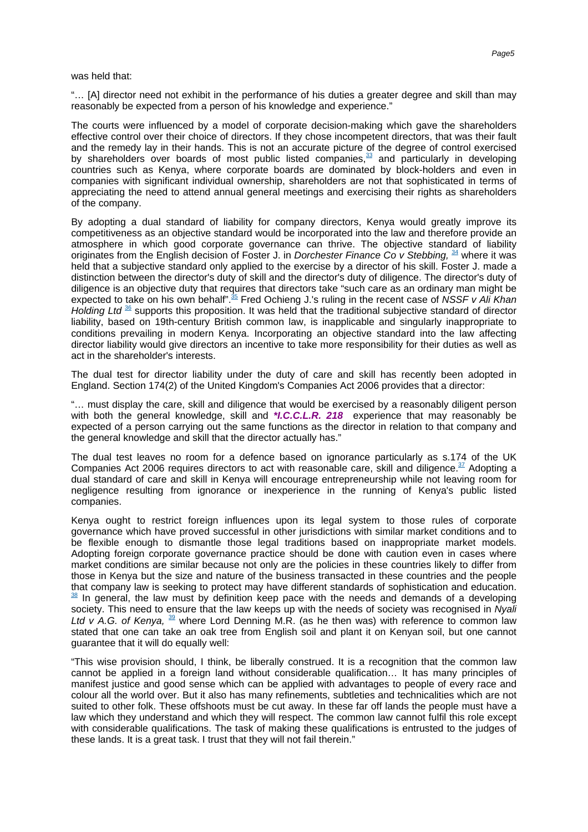"… [A] director need not exhibit in the performance of his duties a greater degree and skill than may reasonably be expected from a person of his knowledge and experience."

The courts were influenced by a model of corporate decision-making which gave the shareholders effective control over their choice of directors. If they chose incompetent directors, that was their fault and the remedy lay in their hands. This is not an accurate picture of the degree of control exercised by shareholders over boards of most public listed [companies,](#page-14-13) $33$  and particularly in developing countries such as Kenya, where corporate boards are dominated by block-holders and even in companies with significant individual ownership, shareholders are not that sophisticated in terms of appreciating the need to attend annual general meetings and exercising their rights as shareholders of the company.

By adopting a dual standard of liability for company directors, Kenya would greatly improve its competitiveness as an objective standard would be incorporated into the law and therefore provide an atmosphere in which good corporate governance can thrive. The objective standard of liability originates from the English decision of Foster J. in Dorchester Finance Co v Stebbing,  $\frac{34}{10}$  $\frac{34}{10}$  $\frac{34}{10}$  where it was held that a subjective standard only applied to the exercise by a director of his skill. Foster J. made a distinction between the director's duty of skill and the director's duty of diligence. The director's duty of diligence is an objective duty that requires that directors take "such care as an ordinary man might be expected to take on his own [behalf".](#page-14-15)<sup>35</sup> Fred Ochieng J.'s ruling in the recent case of NSSF v Ali Khan Holding Ltd  $36$  supports this proposition. It was held that the traditional subjective standard of director liability, based on 19th-century British common law, is inapplicable and singularly inappropriate to conditions prevailing in modern Kenya. Incorporating an objective standard into the law affecting director liability would give directors an incentive to take more responsibility for their duties as well as act in the shareholder's interests.

The dual test for director liability under the duty of care and skill has recently been adopted in England. Section 174(2) of the United Kingdom's Companies Act 2006 provides that a director:

"… must display the care, skill and diligence that would be exercised by a reasonably diligent person with both the general knowledge, skill and **\*I.C.C.L.R. 218** experience that may reasonably be expected of a person carrying out the same functions as the director in relation to that company and the general knowledge and skill that the director actually has."

The dual test leaves no room for a defence based on ignorance particularly as s.174 of the UK Companies Act 2006 requires directors to act with reasonable care, skill and [diligence.](#page-14-17)  $37$  Adopting a dual standard of care and skill in Kenya will encourage entrepreneurship while not leaving room for negligence resulting from ignorance or inexperience in the running of Kenya's public listed companies.

Kenya ought to restrict foreign influences upon its legal system to those rules of corporate governance which have proved successful in other jurisdictions with similar market conditions and to be flexible enough to dismantle those legal traditions based on inappropriate market models. Adopting foreign corporate governance practice should be done with caution even in cases where market conditions are similar because not only are the policies in these countries likely to differ from those in Kenya but the size and nature of the business transacted in these countries and the people that company law is seeking to protect may have different standards of sophistication and [education.](#page-14-18)  $38$  In general, the law must by definition keep pace with the needs and demands of a developing society. This need to ensure that the law keeps up with the needs of society was recognised in Nyali Ltd v A.G. of Kenya,  $39$  where Lord Denning M.R. (as he then was) with reference to common law stated that one can take an oak tree from English soil and plant it on Kenyan soil, but one cannot guarantee that it will do equally well:

"This wise provision should, I think, be liberally construed. It is a recognition that the common law cannot be applied in a foreign land without considerable qualification… It has many principles of manifest justice and good sense which can be applied with advantages to people of every race and colour all the world over. But it also has many refinements, subtleties and technicalities which are not suited to other folk. These offshoots must be cut away. In these far off lands the people must have a law which they understand and which they will respect. The common law cannot fulfil this role except with considerable qualifications. The task of making these qualifications is entrusted to the judges of these lands. It is a great task. I trust that they will not fail therein."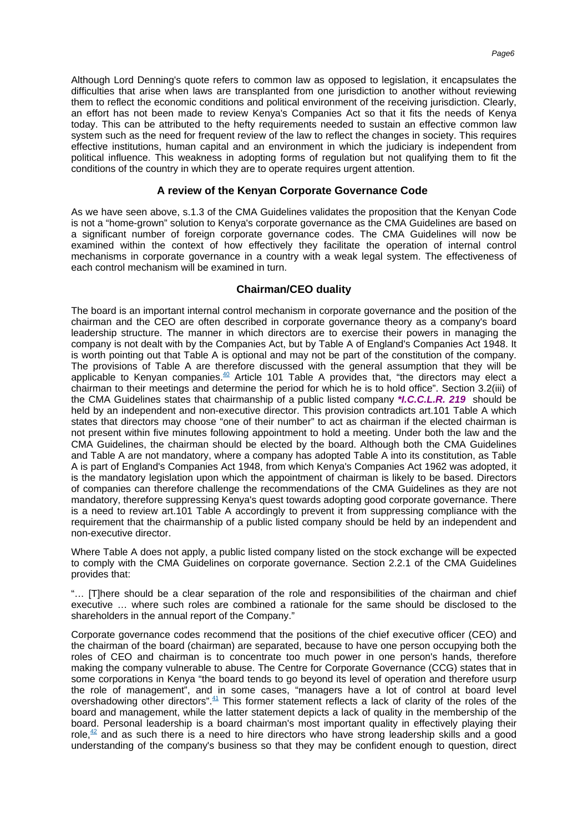Although Lord Denning's quote refers to common law as opposed to legislation, it encapsulates the difficulties that arise when laws are transplanted from one jurisdiction to another without reviewing them to reflect the economic conditions and political environment of the receiving jurisdiction. Clearly, an effort has not been made to review Kenya's Companies Act so that it fits the needs of Kenya today. This can be attributed to the hefty requirements needed to sustain an effective common law system such as the need for frequent review of the law to reflect the changes in society. This requires effective institutions, human capital and an environment in which the judiciary is independent from political influence. This weakness in adopting forms of regulation but not qualifying them to fit the conditions of the country in which they are to operate requires urgent attention.

#### **A review of the Kenyan Corporate Governance Code**

As we have seen above, s.1.3 of the CMA Guidelines validates the proposition that the Kenyan Code is not a "home-grown" solution to Kenya's corporate governance as the CMA Guidelines are based on a significant number of foreign corporate governance codes. The CMA Guidelines will now be examined within the context of how effectively they facilitate the operation of internal control mechanisms in corporate governance in a country with a weak legal system. The effectiveness of each control mechanism will be examined in turn.

## **Chairman/CEO duality**

The board is an important internal control mechanism in corporate governance and the position of the chairman and the CEO are often described in corporate governance theory as a company's board leadership structure. The manner in which directors are to exercise their powers in managing the company is not dealt with by the Companies Act, but by Table A of England's Companies Act 1948. It is worth pointing out that Table A is optional and may not be part of the constitution of the company. The provisions of Table A are therefore discussed with the general assumption that they will be applicable to Kenyan [companies.](#page-14-20)<sup>40</sup> Article 101 Table A provides that, "the directors may elect a chairman to their meetings and determine the period for which he is to hold office". Section 3.2(iii) of the CMA Guidelines states that chairmanship of a public listed company **\*I.C.C.L.R. 219** should be held by an independent and non-executive director. This provision contradicts art.101 Table A which states that directors may choose "one of their number" to act as chairman if the elected chairman is not present within five minutes following appointment to hold a meeting. Under both the law and the CMA Guidelines, the chairman should be elected by the board. Although both the CMA Guidelines and Table A are not mandatory, where a company has adopted Table A into its constitution, as Table A is part of England's Companies Act 1948, from which Kenya's Companies Act 1962 was adopted, it is the mandatory legislation upon which the appointment of chairman is likely to be based. Directors of companies can therefore challenge the recommendations of the CMA Guidelines as they are not mandatory, therefore suppressing Kenya's quest towards adopting good corporate governance. There is a need to review art.101 Table A accordingly to prevent it from suppressing compliance with the requirement that the chairmanship of a public listed company should be held by an independent and non-executive director.

Where Table A does not apply, a public listed company listed on the stock exchange will be expected to comply with the CMA Guidelines on corporate governance. Section 2.2.1 of the CMA Guidelines provides that:

"… [T]here should be a clear separation of the role and responsibilities of the chairman and chief executive … where such roles are combined a rationale for the same should be disclosed to the shareholders in the annual report of the Company."

Corporate governance codes recommend that the positions of the chief executive officer (CEO) and the chairman of the board (chairman) are separated, because to have one person occupying both the roles of CEO and chairman is to concentrate too much power in one person's hands, therefore making the company vulnerable to abuse. The Centre for Corporate Governance (CCG) states that in some corporations in Kenya "the board tends to go beyond its level of operation and therefore usurp the role of management", and in some cases, "managers have a lot of control at board level overshadowing other [directors".](#page-14-21)<sup>41</sup> This former statement reflects a lack of clarity of the roles of the board and management, while the latter statement depicts a lack of quality in the membership of the board. Personal leadership is a board chairman's most important quality in effectively playing their [role,](#page-14-22) $42$  and as such there is a need to hire directors who have strong leadership skills and a good understanding of the company's business so that they may be confident enough to question, direct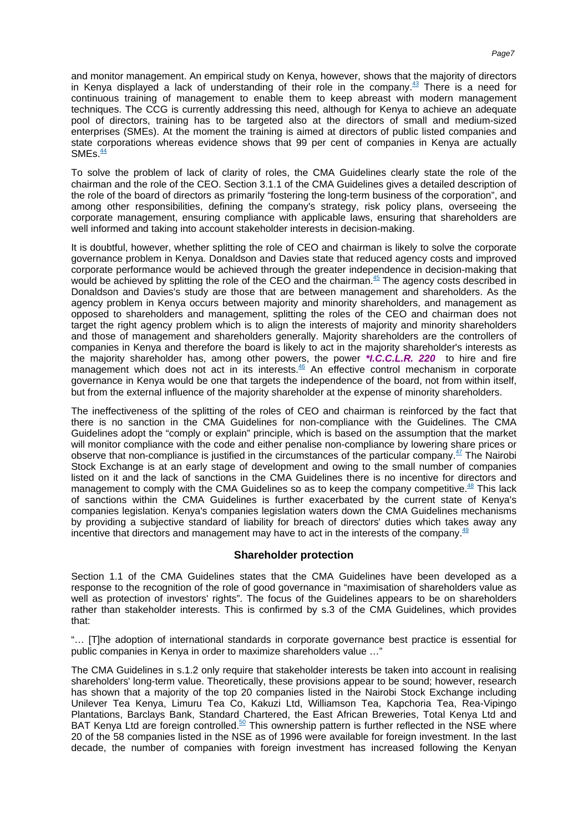and monitor management. An empirical study on Kenya, however, shows that the majority of directors in Kenya displayed a lack of understanding of their role in the [company.](#page-14-23)<sup>43</sup> There is a need for continuous training of management to enable them to keep abreast with modern management techniques. The CCG is currently addressing this need, although for Kenya to achieve an adequate pool of directors, training has to be targeted also at the directors of small and medium-sized enterprises (SMEs). At the moment the training is aimed at directors of public listed companies and state corporations whereas evidence shows that 99 per cent of companies in Kenya are actually  $SMEs.<sup>44</sup>$  $SMEs.<sup>44</sup>$ 

To solve the problem of lack of clarity of roles, the CMA Guidelines clearly state the role of the chairman and the role of the CEO. Section 3.1.1 of the CMA Guidelines gives a detailed description of the role of the board of directors as primarily "fostering the long-term business of the corporation", and among other responsibilities, defining the company's strategy, risk policy plans, overseeing the corporate management, ensuring compliance with applicable laws, ensuring that shareholders are well informed and taking into account stakeholder interests in decision-making.

It is doubtful, however, whether splitting the role of CEO and chairman is likely to solve the corporate governance problem in Kenya. Donaldson and Davies state that reduced agency costs and improved corporate performance would be achieved through the greater independence in decision-making that would be achieved by splitting the role of the CEO and the [chairman.](#page-15-0)<sup>45</sup> The agency costs described in Donaldson and Davies's study are those that are between management and shareholders. As the agency problem in Kenya occurs between majority and minority shareholders, and management as opposed to shareholders and management, splitting the roles of the CEO and chairman does not target the right agency problem which is to align the interests of majority and minority shareholders and those of management and shareholders generally. Majority shareholders are the controllers of companies in Kenya and therefore the board is likely to act in the majority shareholder's interests as the majority shareholder has, among other powers, the power **\*I.C.C.L.R. 220** to hire and fire management which does not act in its [interests.](#page-15-1)<sup>46</sup> An effective control mechanism in corporate governance in Kenya would be one that targets the independence of the board, not from within itself, but from the external influence of the majority shareholder at the expense of minority shareholders.

The ineffectiveness of the splitting of the roles of CEO and chairman is reinforced by the fact that there is no sanction in the CMA Guidelines for non-compliance with the Guidelines. The CMA Guidelines adopt the "comply or explain" principle, which is based on the assumption that the market will monitor compliance with the code and either penalise non-compliance by lowering share prices or observe that non-compliance is justified in the circumstances of the particular [company.](#page-15-2) $47$  The Nairobi Stock Exchange is at an early stage of development and owing to the small number of companies listed on it and the lack of sanctions in the CMA Guidelines there is no incentive for directors and management to comply with the CMA Guidelines so as to keep the company [competitive.](#page-15-3)<sup>48</sup> This lack of sanctions within the CMA Guidelines is further exacerbated by the current state of Kenya's companies legislation. Kenya's companies legislation waters down the CMA Guidelines mechanisms by providing a subjective standard of liability for breach of directors' duties which takes away any incentive that directors and management may have to act in the interests of the [company.](#page-15-4) $49$ 

## **Shareholder protection**

Section 1.1 of the CMA Guidelines states that the CMA Guidelines have been developed as a response to the recognition of the role of good governance in "maximisation of shareholders value as well as protection of investors' rights". The focus of the Guidelines appears to be on shareholders rather than stakeholder interests. This is confirmed by s.3 of the CMA Guidelines, which provides that:

"… [T]he adoption of international standards in corporate governance best practice is essential for public companies in Kenya in order to maximize shareholders value …"

The CMA Guidelines in s.1.2 only require that stakeholder interests be taken into account in realising shareholders' long-term value. Theoretically, these provisions appear to be sound; however, research has shown that a majority of the top 20 companies listed in the Nairobi Stock Exchange including Unilever Tea Kenya, Limuru Tea Co, Kakuzi Ltd, Williamson Tea, Kapchoria Tea, Rea-Vipingo Plantations, Barclays Bank, Standard Chartered, the East African Breweries, Total Kenya Ltd and BAT Kenya Ltd are foreign [controlled.](#page-15-5)<sup>50</sup> This ownership pattern is further reflected in the NSE where 20 of the 58 companies listed in the NSE as of 1996 were available for foreign investment. In the last decade, the number of companies with foreign investment has increased following the Kenyan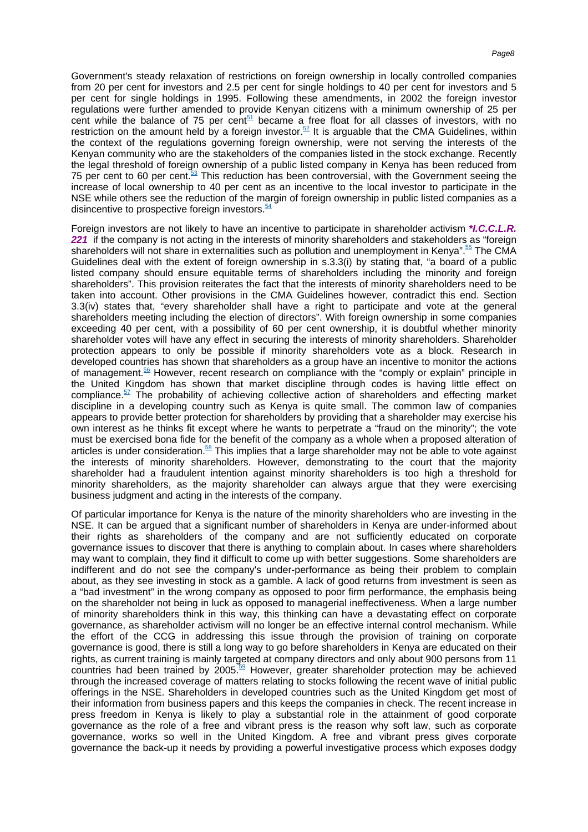Government's steady relaxation of restrictions on foreign ownership in locally controlled companies from 20 per cent for investors and 2.5 per cent for single holdings to 40 per cent for investors and 5 per cent for single holdings in 1995. Following these amendments, in 2002 the foreign investor regulations were further amended to provide Kenyan citizens with a minimum ownership of 25 per cent while the balance of 75 per [cent](#page-15-6)<sup>51</sup> became a free float for all classes of investors, with no restriction on the amount held by a foreign [investor.](#page-15-7)<sup>52</sup> It is arguable that the CMA Guidelines, within the context of the regulations governing foreign ownership, were not serving the interests of the Kenyan community who are the stakeholders of the companies listed in the stock exchange. Recently the legal threshold of foreign ownership of a public listed company in Kenya has been reduced from 75 per cent to 60 per [cent.](#page-15-8)<sup>53</sup> This reduction has been controversial, with the Government seeing the increase of local ownership to 40 per cent as an incentive to the local investor to participate in the NSE while others see the reduction of the margin of foreign ownership in public listed companies as a disincentive to prospective foreign [investors.](#page-15-9) $54$ 

Foreign investors are not likely to have an incentive to participate in shareholder activism **\*I.C.C.L.R. 221** if the company is not acting in the interests of minority shareholders and stakeholders as "foreign shareholders will not share in externalities such as pollution and unemployment in [Kenya".](#page-15-10)<sup>55</sup> The CMA Guidelines deal with the extent of foreign ownership in s.3.3(i) by stating that, "a board of a public listed company should ensure equitable terms of shareholders including the minority and foreign shareholders". This provision reiterates the fact that the interests of minority shareholders need to be taken into account. Other provisions in the CMA Guidelines however, contradict this end. Section 3.3(iv) states that, "every shareholder shall have a right to participate and vote at the general shareholders meeting including the election of directors". With foreign ownership in some companies exceeding 40 per cent, with a possibility of 60 per cent ownership, it is doubtful whether minority shareholder votes will have any effect in securing the interests of minority shareholders. Shareholder protection appears to only be possible if minority shareholders vote as a block. Research in developed countries has shown that shareholders as a group have an incentive to monitor the actions of [management.](#page-15-11)<sup>56</sup> However, recent research on compliance with the "comply or explain" principle in the United Kingdom has shown that market discipline through codes is having little effect on [compliance.](#page-15-12) $57$  The probability of achieving collective action of shareholders and effecting market discipline in a developing country such as Kenya is quite small. The common law of companies appears to provide better protection for shareholders by providing that a shareholder may exercise his own interest as he thinks fit except where he wants to perpetrate a "fraud on the minority"; the vote must be exercised bona fide for the benefit of the company as a whole when a proposed alteration of articles is under [consideration.](#page-15-13)<sup>58</sup> This implies that a large shareholder may not be able to vote against the interests of minority shareholders. However, demonstrating to the court that the majority shareholder had a fraudulent intention against minority shareholders is too high a threshold for minority shareholders, as the majority shareholder can always argue that they were exercising business judgment and acting in the interests of the company.

Of particular importance for Kenya is the nature of the minority shareholders who are investing in the NSE. It can be argued that a significant number of shareholders in Kenya are under-informed about their rights as shareholders of the company and are not sufficiently educated on corporate governance issues to discover that there is anything to complain about. In cases where shareholders may want to complain, they find it difficult to come up with better suggestions. Some shareholders are indifferent and do not see the company's under-performance as being their problem to complain about, as they see investing in stock as a gamble. A lack of good returns from investment is seen as a "bad investment" in the wrong company as opposed to poor firm performance, the emphasis being on the shareholder not being in luck as opposed to managerial ineffectiveness. When a large number of minority shareholders think in this way, this thinking can have a devastating effect on corporate governance, as shareholder activism will no longer be an effective internal control mechanism. While the effort of the CCG in addressing this issue through the provision of training on corporate governance is good, there is still a long way to go before shareholders in Kenya are educated on their rights, as current training is mainly targeted at company directors and only about 900 persons from 11 countries had been trained by  $2005$ <sup>59</sup> However, greater shareholder protection may be achieved through the increased coverage of matters relating to stocks following the recent wave of initial public offerings in the NSE. Shareholders in developed countries such as the United Kingdom get most of their information from business papers and this keeps the companies in check. The recent increase in press freedom in Kenya is likely to play a substantial role in the attainment of good corporate governance as the role of a free and vibrant press is the reason why soft law, such as corporate governance, works so well in the United Kingdom. A free and vibrant press gives corporate governance the back-up it needs by providing a powerful investigative process which exposes dodgy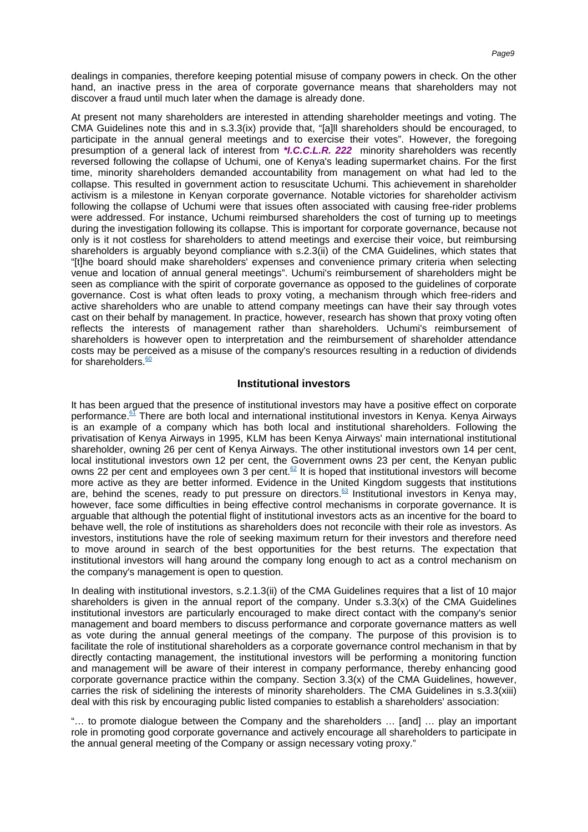dealings in companies, therefore keeping potential misuse of company powers in check. On the other hand, an inactive press in the area of corporate governance means that shareholders may not discover a fraud until much later when the damage is already done.

At present not many shareholders are interested in attending shareholder meetings and voting. The CMA Guidelines note this and in s.3.3(ix) provide that, "[a]ll shareholders should be encouraged, to participate in the annual general meetings and to exercise their votes". However, the foregoing presumption of a general lack of interest from **\*I.C.C.L.R. 222** minority shareholders was recently reversed following the collapse of Uchumi, one of Kenya's leading supermarket chains. For the first time, minority shareholders demanded accountability from management on what had led to the collapse. This resulted in government action to resuscitate Uchumi. This achievement in shareholder activism is a milestone in Kenyan corporate governance. Notable victories for shareholder activism following the collapse of Uchumi were that issues often associated with causing free-rider problems were addressed. For instance, Uchumi reimbursed shareholders the cost of turning up to meetings during the investigation following its collapse. This is important for corporate governance, because not only is it not costless for shareholders to attend meetings and exercise their voice, but reimbursing shareholders is arguably beyond compliance with s.2.3(ii) of the CMA Guidelines, which states that "[t]he board should make shareholders' expenses and convenience primary criteria when selecting venue and location of annual general meetings". Uchumi's reimbursement of shareholders might be seen as compliance with the spirit of corporate governance as opposed to the guidelines of corporate governance. Cost is what often leads to proxy voting, a mechanism through which free-riders and active shareholders who are unable to attend company meetings can have their say through votes cast on their behalf by management. In practice, however, research has shown that proxy voting often reflects the interests of management rather than shareholders. Uchumi's reimbursement of shareholders is however open to interpretation and the reimbursement of shareholder attendance costs may be perceived as a misuse of the company's resources resulting in a reduction of dividends for [shareholders.](#page-15-15) $60$ 

#### **Institutional investors**

It has been argued that the presence of institutional investors may have a positive effect on corporate [performance.](#page-15-16)<sup>61</sup> There are both local and international institutional investors in Kenya. Kenya Airways is an example of a company which has both local and institutional shareholders. Following the privatisation of Kenya Airways in 1995, KLM has been Kenya Airways' main international institutional shareholder, owning 26 per cent of Kenya Airways. The other institutional investors own 14 per cent, local institutional investors own 12 per cent, the Government owns 23 per cent, the Kenyan public owns 22 per cent and employees own 3 per [cent.](#page-15-17)<sup>62</sup> It is hoped that institutional investors will become more active as they are better informed. Evidence in the United Kingdom suggests that institutions are, behind the scenes, ready to put pressure on [directors.](#page-15-18)<sup>63</sup> Institutional investors in Kenya may, however, face some difficulties in being effective control mechanisms in corporate governance. It is arguable that although the potential flight of institutional investors acts as an incentive for the board to behave well, the role of institutions as shareholders does not reconcile with their role as investors. As investors, institutions have the role of seeking maximum return for their investors and therefore need to move around in search of the best opportunities for the best returns. The expectation that institutional investors will hang around the company long enough to act as a control mechanism on the company's management is open to question.

In dealing with institutional investors, s.2.1.3(ii) of the CMA Guidelines requires that a list of 10 major shareholders is given in the annual report of the company. Under  $s.3.3(x)$  of the CMA Guidelines institutional investors are particularly encouraged to make direct contact with the company's senior management and board members to discuss performance and corporate governance matters as well as vote during the annual general meetings of the company. The purpose of this provision is to facilitate the role of institutional shareholders as a corporate governance control mechanism in that by directly contacting management, the institutional investors will be performing a monitoring function and management will be aware of their interest in company performance, thereby enhancing good corporate governance practice within the company. Section 3.3(x) of the CMA Guidelines, however, carries the risk of sidelining the interests of minority shareholders. The CMA Guidelines in s.3.3(xiii) deal with this risk by encouraging public listed companies to establish a shareholders' association:

"… to promote dialogue between the Company and the shareholders … [and] … play an important role in promoting good corporate governance and actively encourage all shareholders to participate in the annual general meeting of the Company or assign necessary voting proxy."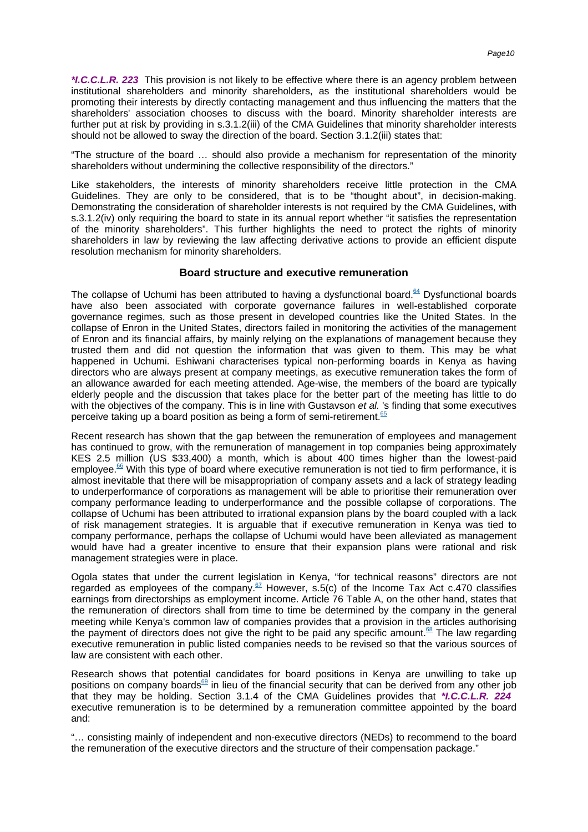**\*I.C.C.L.R. 223** This provision is not likely to be effective where there is an agency problem between institutional shareholders and minority shareholders, as the institutional shareholders would be promoting their interests by directly contacting management and thus influencing the matters that the shareholders' association chooses to discuss with the board. Minority shareholder interests are further put at risk by providing in s.3.1.2(iii) of the CMA Guidelines that minority shareholder interests should not be allowed to sway the direction of the board. Section 3.1.2(iii) states that:

"The structure of the board … should also provide a mechanism for representation of the minority shareholders without undermining the collective responsibility of the directors."

Like stakeholders, the interests of minority shareholders receive little protection in the CMA Guidelines. They are only to be considered, that is to be "thought about", in decision-making. Demonstrating the consideration of shareholder interests is not required by the CMA Guidelines, with s.3.1.2(iv) only requiring the board to state in its annual report whether "it satisfies the representation of the minority shareholders". This further highlights the need to protect the rights of minority shareholders in law by reviewing the law affecting derivative actions to provide an efficient dispute resolution mechanism for minority shareholders.

#### **Board structure and executive remuneration**

The collapse of Uchumi has been attributed to having a dysfunctional [board.](#page-15-19)<sup>64</sup> Dysfunctional boards have also been associated with corporate governance failures in well-established corporate governance regimes, such as those present in developed countries like the United States. In the collapse of Enron in the United States, directors failed in monitoring the activities of the management of Enron and its financial affairs, by mainly relying on the explanations of management because they trusted them and did not question the information that was given to them. This may be what happened in Uchumi. Eshiwani characterises typical non-performing boards in Kenya as having directors who are always present at company meetings, as executive remuneration takes the form of an allowance awarded for each meeting attended. Age-wise, the members of the board are typically elderly people and the discussion that takes place for the better part of the meeting has little to do with the objectives of the company. This is in line with Gustavson et al. 's finding that some executives perceive taking up a board position as being a form of [semi-retirement.](#page-15-20)<sup>65</sup>

Recent research has shown that the gap between the remuneration of employees and management has continued to grow, with the remuneration of management in top companies being approximately KES 2.5 million (US \$33,400) a month, which is about 400 times higher than the lowest-paid [employee.](#page-15-21)<sup>66</sup> With this type of board where executive remuneration is not tied to firm performance, it is almost inevitable that there will be misappropriation of company assets and a lack of strategy leading to underperformance of corporations as management will be able to prioritise their remuneration over company performance leading to underperformance and the possible collapse of corporations. The collapse of Uchumi has been attributed to irrational expansion plans by the board coupled with a lack of risk management strategies. It is arguable that if executive remuneration in Kenya was tied to company performance, perhaps the collapse of Uchumi would have been alleviated as management would have had a greater incentive to ensure that their expansion plans were rational and risk management strategies were in place.

Ogola states that under the current legislation in Kenya, "for technical reasons" directors are not regarded as employees of the [company.](#page-15-22)<sup>67</sup> However, s.5(c) of the Income Tax Act c.470 classifies earnings from directorships as employment income. Article 76 Table A, on the other hand, states that the remuneration of directors shall from time to time be determined by the company in the general meeting while Kenya's common law of companies provides that a provision in the articles authorising the payment of directors does not give the right to be paid any specific [amount.](#page-15-23)<sup>68</sup> The law regarding executive remuneration in public listed companies needs to be revised so that the various sources of law are consistent with each other.

Research shows that potential candidates for board positions in Kenya are unwilling to take up positions on company [boards](#page-16-0) $\frac{69}{5}$  in lieu of the financial security that can be derived from any other job that they may be holding. Section 3.1.4 of the CMA Guidelines provides that **\*I.C.C.L.R. 224** executive remuneration is to be determined by a remuneration committee appointed by the board and:

"… consisting mainly of independent and non-executive directors (NEDs) to recommend to the board the remuneration of the executive directors and the structure of their compensation package."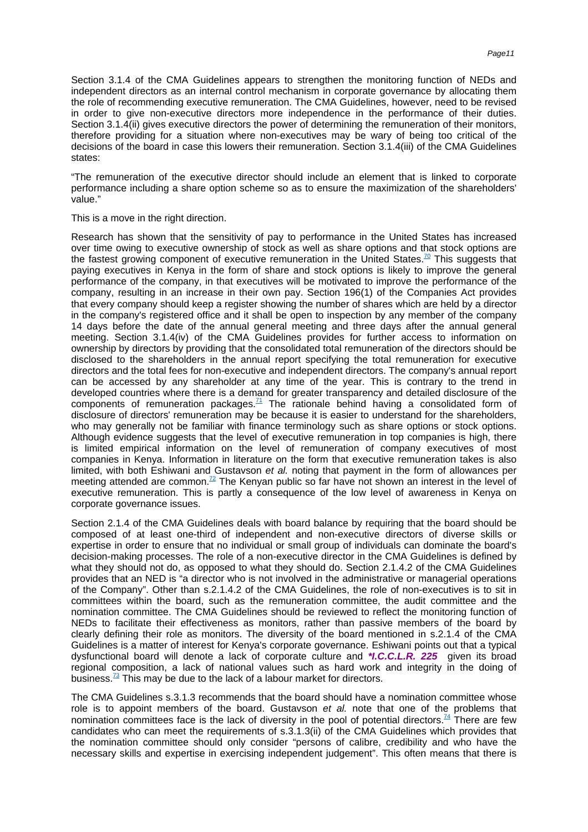Section 3.1.4 of the CMA Guidelines appears to strengthen the monitoring function of NEDs and independent directors as an internal control mechanism in corporate governance by allocating them the role of recommending executive remuneration. The CMA Guidelines, however, need to be revised in order to give non-executive directors more independence in the performance of their duties. Section 3.1.4(ii) gives executive directors the power of determining the remuneration of their monitors, therefore providing for a situation where non-executives may be wary of being too critical of the decisions of the board in case this lowers their remuneration. Section 3.1.4(iii) of the CMA Guidelines states:

"The remuneration of the executive director should include an element that is linked to corporate performance including a share option scheme so as to ensure the maximization of the shareholders' value."

This is a move in the right direction.

Research has shown that the sensitivity of pay to performance in the United States has increased over time owing to executive ownership of stock as well as share options and that stock options are the fastest growing component of executive remuneration in the United [States.](#page-16-1)<sup>70</sup> This suggests that paying executives in Kenya in the form of share and stock options is likely to improve the general performance of the company, in that executives will be motivated to improve the performance of the company, resulting in an increase in their own pay. Section 196(1) of the Companies Act provides that every company should keep a register showing the number of shares which are held by a director in the company's registered office and it shall be open to inspection by any member of the company 14 days before the date of the annual general meeting and three days after the annual general meeting. Section 3.1.4(iv) of the CMA Guidelines provides for further access to information on ownership by directors by providing that the consolidated total remuneration of the directors should be disclosed to the shareholders in the annual report specifying the total remuneration for executive directors and the total fees for non-executive and independent directors. The company's annual report can be accessed by any shareholder at any time of the year. This is contrary to the trend in developed countries where there is a demand for greater transparency and detailed disclosure of the components of remuneration [packages.](#page-16-2)<sup>71</sup> The rationale behind having a consolidated form of disclosure of directors' remuneration may be because it is easier to understand for the shareholders, who may generally not be familiar with finance terminology such as share options or stock options. Although evidence suggests that the level of executive remuneration in top companies is high, there is limited empirical information on the level of remuneration of company executives of most companies in Kenya. Information in literature on the form that executive remuneration takes is also limited, with both Eshiwani and Gustavson et al. noting that payment in the form of allowances per meeting attended are [common.](#page-16-3)<sup>72</sup> The Kenyan public so far have not shown an interest in the level of executive remuneration. This is partly a consequence of the low level of awareness in Kenya on corporate governance issues.

Section 2.1.4 of the CMA Guidelines deals with board balance by requiring that the board should be composed of at least one-third of independent and non-executive directors of diverse skills or expertise in order to ensure that no individual or small group of individuals can dominate the board's decision-making processes. The role of a non-executive director in the CMA Guidelines is defined by what they should not do, as opposed to what they should do. Section 2.1.4.2 of the CMA Guidelines provides that an NED is "a director who is not involved in the administrative or managerial operations of the Company". Other than s.2.1.4.2 of the CMA Guidelines, the role of non-executives is to sit in committees within the board, such as the remuneration committee, the audit committee and the nomination committee. The CMA Guidelines should be reviewed to reflect the monitoring function of NEDs to facilitate their effectiveness as monitors, rather than passive members of the board by clearly defining their role as monitors. The diversity of the board mentioned in s.2.1.4 of the CMA Guidelines is a matter of interest for Kenya's corporate governance. Eshiwani points out that a typical dysfunctional board will denote a lack of corporate culture and **\*I.C.C.L.R. 225** given its broad regional composition, a lack of national values such as hard work and integrity in the doing of [business.](#page-16-4)<sup>73</sup> This may be due to the lack of a labour market for directors.

The CMA Guidelines s.3.1.3 recommends that the board should have a nomination committee whose role is to appoint members of the board. Gustavson et al. note that one of the problems that nomination committees face is the lack of diversity in the pool of potential [directors.](#page-16-5)<sup>74</sup> There are few candidates who can meet the requirements of s.3.1.3(ii) of the CMA Guidelines which provides that the nomination committee should only consider "persons of calibre, credibility and who have the necessary skills and expertise in exercising independent judgement". This often means that there is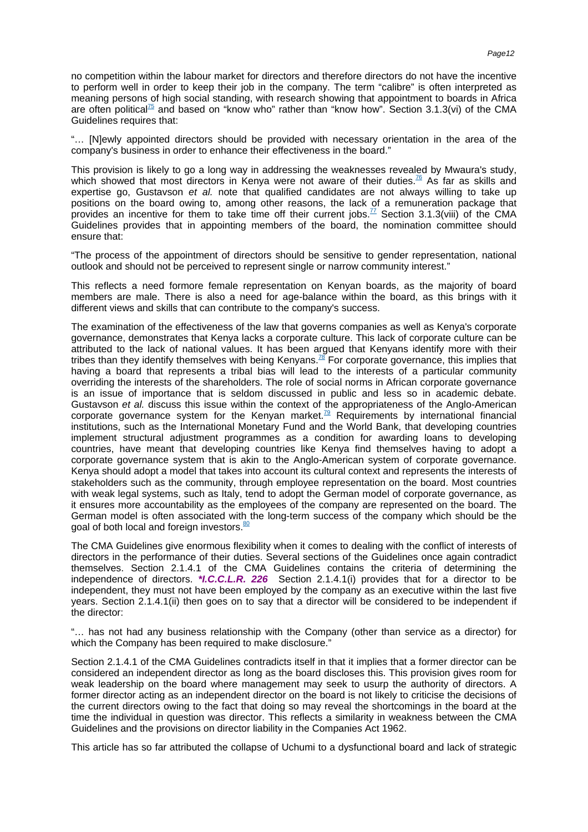no competition within the labour market for directors and therefore directors do not have the incentive to perform well in order to keep their job in the company. The term "calibre" is often interpreted as meaning persons of high social standing, with research showing that appointment to boards in Africa are often [political](#page-16-6)<sup>75</sup> and based on "know who" rather than "know how". Section 3.1.3(vi) of the CMA Guidelines requires that:

"… [N]ewly appointed directors should be provided with necessary orientation in the area of the company's business in order to enhance their effectiveness in the board."

This provision is likely to go a long way in addressing the weaknesses revealed by Mwaura's study, which showed that most directors in Kenya were not aware of their [duties.](#page-16-7)<sup>76</sup> As far as skills and expertise go, Gustavson et al. note that qualified candidates are not always willing to take up positions on the board owing to, among other reasons, the lack of a remuneration package that provides an incentive for them to take time off their current [jobs.](#page-16-8)<sup>77</sup> Section 3.1.3(viii) of the CMA Guidelines provides that in appointing members of the board, the nomination committee should ensure that:

"The process of the appointment of directors should be sensitive to gender representation, national outlook and should not be perceived to represent single or narrow community interest."

This reflects a need formore female representation on Kenyan boards, as the majority of board members are male. There is also a need for age-balance within the board, as this brings with it different views and skills that can contribute to the company's success.

The examination of the effectiveness of the law that governs companies as well as Kenya's corporate governance, demonstrates that Kenya lacks a corporate culture. This lack of corporate culture can be attributed to the lack of national values. It has been argued that Kenyans identify more with their tribes than they identify themselves with being [Kenyans.](#page-16-9)<sup>78</sup> For corporate governance, this implies that having a board that represents a tribal bias will lead to the interests of a particular community overriding the interests of the shareholders. The role of social norms in African corporate governance is an issue of importance that is seldom discussed in public and less so in academic debate. Gustavson et al. discuss this issue within the context of the appropriateness of the Anglo-American corporate governance system for the Kenyan [market.](#page-16-10)<sup>79</sup> Requirements by international financial institutions, such as the International Monetary Fund and the World Bank, that developing countries implement structural adjustment programmes as a condition for awarding loans to developing countries, have meant that developing countries like Kenya find themselves having to adopt a corporate governance system that is akin to the Anglo-American system of corporate governance. Kenya should adopt a model that takes into account its cultural context and represents the interests of stakeholders such as the community, through employee representation on the board. Most countries with weak legal systems, such as Italy, tend to adopt the German model of corporate governance, as it ensures more accountability as the employees of the company are represented on the board. The German model is often associated with the long-term success of the company which should be the goal of both local and foreig[n investors.](#page-16-11)<sup>80</sup>

The CMA Guidelines give enormous flexibility when it comes to dealing with the conflict of interests of directors in the performance of their duties. Several sections of the Guidelines once again contradict themselves. Section 2.1.4.1 of the CMA Guidelines contains the criteria of determining the independence of directors. **\*I.C.C.L.R. 226** Section 2.1.4.1(i) provides that for a director to be independent, they must not have been employed by the company as an executive within the last five years. Section 2.1.4.1(ii) then goes on to say that a director will be considered to be independent if the director:

"… has not had any business relationship with the Company (other than service as a director) for which the Company has been required to make disclosure."

Section 2.1.4.1 of the CMA Guidelines contradicts itself in that it implies that a former director can be considered an independent director as long as the board discloses this. This provision gives room for weak leadership on the board where management may seek to usurp the authority of directors. A former director acting as an independent director on the board is not likely to criticise the decisions of the current directors owing to the fact that doing so may reveal the shortcomings in the board at the time the individual in question was director. This reflects a similarity in weakness between the CMA Guidelines and the provisions on director liability in the Companies Act 1962.

This article has so far attributed the collapse of Uchumi to a dysfunctional board and lack of strategic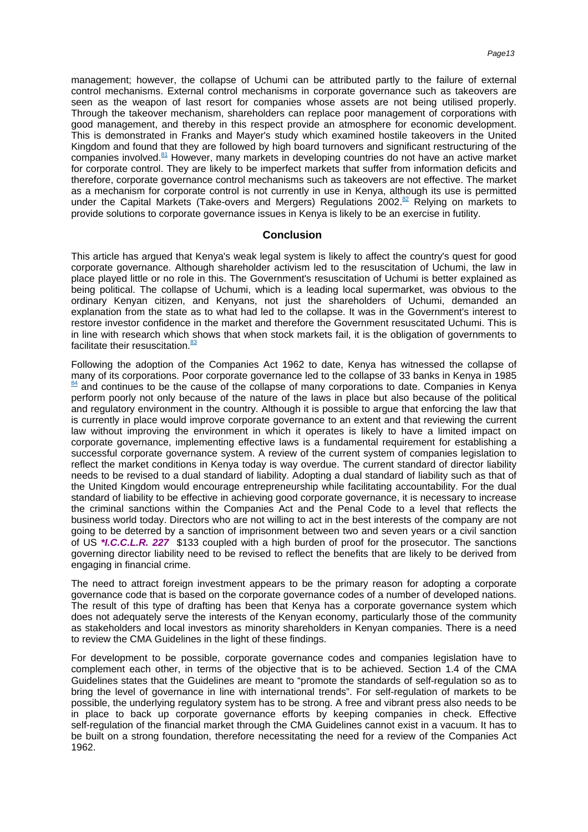management; however, the collapse of Uchumi can be attributed partly to the failure of external control mechanisms. External control mechanisms in corporate governance such as takeovers are seen as the weapon of last resort for companies whose assets are not being utilised properly. Through the takeover mechanism, shareholders can replace poor management of corporations with good management, and thereby in this respect provide an atmosphere for economic development. This is demonstrated in Franks and Mayer's study which examined hostile takeovers in the United Kingdom and found that they are followed by high board turnovers and significant restructuring of the companies [involved.](#page-16-12) $81$  However, many markets in developing countries do not have an active market for corporate control. They are likely to be imperfect markets that suffer from information deficits and therefore, corporate governance control mechanisms such as takeovers are not effective. The market as a mechanism for corporate control is not currently in use in Kenya, although its use is permitted under the Capital Markets (Take-overs and Mergers) Regulations [2002.](#page-16-13)<sup>82</sup> Relying on markets to provide solutions to corporate governance issues in Kenya is likely to be an exercise in futility.

#### **Conclusion**

This article has argued that Kenya's weak legal system is likely to affect the country's quest for good corporate governance. Although shareholder activism led to the resuscitation of Uchumi, the law in place played little or no role in this. The Government's resuscitation of Uchumi is better explained as being political. The collapse of Uchumi, which is a leading local supermarket, was obvious to the ordinary Kenyan citizen, and Kenyans, not just the shareholders of Uchumi, demanded an explanation from the state as to what had led to the collapse. It was in the Government's interest to restore investor confidence in the market and therefore the Government resuscitated Uchumi. This is in line with research which shows that when stock markets fail, it is the obligation of governments to facilitate their [resuscitation.](#page-16-14) $83$ 

Following the adoption of the Companies Act 1962 to date, Kenya has witnessed the collapse of many of its corporations. Poor corporate governance led to the collapse of 33 banks in Kenya in [1985](#page-16-15) [84](#page-16-15) and continues to be the cause of the collapse of many corporations to date. Companies in Kenya perform poorly not only because of the nature of the laws in place but also because of the political and regulatory environment in the country. Although it is possible to argue that enforcing the law that is currently in place would improve corporate governance to an extent and that reviewing the current law without improving the environment in which it operates is likely to have a limited impact on corporate governance, implementing effective laws is a fundamental requirement for establishing a successful corporate governance system. A review of the current system of companies legislation to reflect the market conditions in Kenya today is way overdue. The current standard of director liability needs to be revised to a dual standard of liability. Adopting a dual standard of liability such as that of the United Kingdom would encourage entrepreneurship while facilitating accountability. For the dual standard of liability to be effective in achieving good corporate governance, it is necessary to increase the criminal sanctions within the Companies Act and the Penal Code to a level that reflects the business world today. Directors who are not willing to act in the best interests of the company are not going to be deterred by a sanction of imprisonment between two and seven years or a civil sanction of US **\*I.C.C.L.R. 227** \$133 coupled with a high burden of proof for the prosecutor. The sanctions governing director liability need to be revised to reflect the benefits that are likely to be derived from engaging in financial crime.

The need to attract foreign investment appears to be the primary reason for adopting a corporate governance code that is based on the corporate governance codes of a number of developed nations. The result of this type of drafting has been that Kenya has a corporate governance system which does not adequately serve the interests of the Kenyan economy, particularly those of the community as stakeholders and local investors as minority shareholders in Kenyan companies. There is a need to review the CMA Guidelines in the light of these findings.

For development to be possible, corporate governance codes and companies legislation have to complement each other, in terms of the objective that is to be achieved. Section 1.4 of the CMA Guidelines states that the Guidelines are meant to "promote the standards of self-regulation so as to bring the level of governance in line with international trends". For self-regulation of markets to be possible, the underlying regulatory system has to be strong. A free and vibrant press also needs to be in place to back up corporate governance efforts by keeping companies in check. Effective self-regulation of the financial market through the CMA Guidelines cannot exist in a vacuum. It has to be built on a strong foundation, therefore necessitating the need for a review of the Companies Act 1962.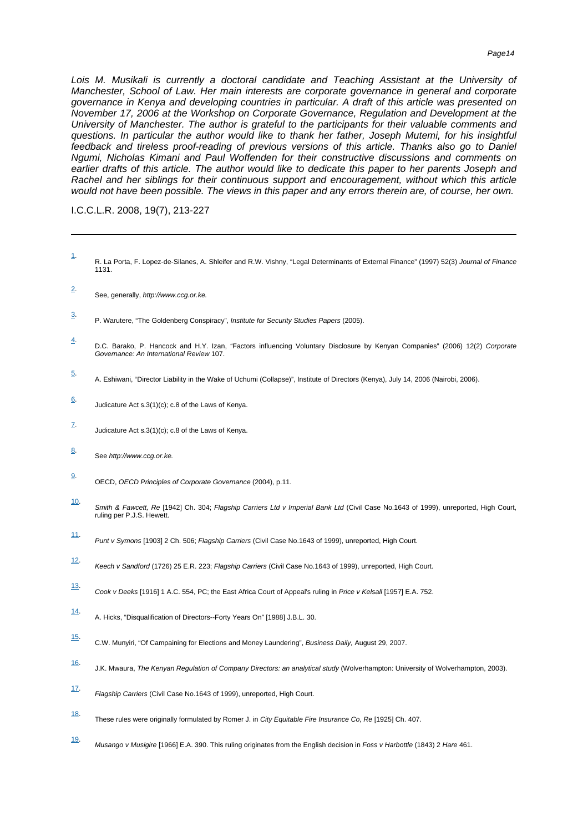Lois M. Musikali is currently a doctoral candidate and Teaching Assistant at the University of Manchester, School of Law. Her main interests are corporate governance in general and corporate governance in Kenya and developing countries in particular. A draft of this article was presented on November 17, 2006 at the Workshop on Corporate Governance, Regulation and Development at the University of Manchester. The author is grateful to the participants for their valuable comments and questions. In particular the author would like to thank her father, Joseph Mutemi, for his insightful feedback and tireless proof-reading of previous versions of this article. Thanks also go to Daniel Ngumi, Nicholas Kimani and Paul Woffenden for their constructive discussions and comments on earlier drafts of this article. The author would like to dedicate this paper to her parents Joseph and Rachel and her siblings for their continuous support and encouragement, without which this article would not have been possible. The views in this paper and any errors therein are, of course, her own.

I.C.C.L.R. 2008, 19(7), 213-227

- <span id="page-13-0"></span>[1.](#page--1-0) R. La Porta, F. Lopez-de-Silanes, A. Shleifer and R.W. Vishny, "Legal Determinants of External Finance" (1997) 52(3) Journal of Finance 1131.
- <span id="page-13-1"></span>[2.](#page--1-0) See, generally, http://www.ccg.or.ke.
- <span id="page-13-2"></span>[3.](#page--1-0) P. Warutere, "The Goldenberg Conspiracy", Institute for Security Studies Papers (2005).
- <span id="page-13-3"></span>[4.](#page--1-0) D.C. Barako, P. Hancock and H.Y. Izan, "Factors influencing Voluntary Disclosure by Kenyan Companies" (2006) 12(2) Corporate Governance: An International Review 107.
- <span id="page-13-4"></span>[5.](#page--1-0) A. Eshiwani, "Director Liability in the Wake of Uchumi (Collapse)", Institute of Directors (Kenya), July 14, 2006 (Nairobi, 2006).
- <span id="page-13-5"></span>[6.](#page--1-0) Judicature Act s.3(1)(c); c.8 of the Laws of Kenya.
- <span id="page-13-6"></span>[7.](#page--1-0) Judicature Act s.3(1)(c); c.8 of the Laws of Kenya.
- <span id="page-13-7"></span>[8.](#page--1-0) See http://www.ccg.or.ke.
- <span id="page-13-8"></span>[9.](#page--1-0) OECD, OECD Principles of Corporate Governance (2004), p.11.
- <span id="page-13-9"></span>[10.](#page--1-0) Smith & Fawcett, Re [1942] Ch. 304; Flagship Carriers Ltd v Imperial Bank Ltd (Civil Case No.1643 of 1999), unreported, High Court, ruling per P.J.S. Hewett.
- <span id="page-13-10"></span>[11.](#page--1-0) Punt v Symons [1903] 2 Ch. 506; Flagship Carriers (Civil Case No.1643 of 1999), unreported, High Court.
- <span id="page-13-11"></span>[12.](#page--1-0) Keech v Sandford (1726) 25 E.R. 223; Flagship Carriers (Civil Case No.1643 of 1999), unreported, High Court.
- <span id="page-13-12"></span>[13.](#page--1-0) Cook v Deeks [1916] 1 A.C. 554, PC; the East Africa Court of Appeal's ruling in Price v Kelsall [1957] E.A. 752.
- <span id="page-13-13"></span>[14.](#page--1-0) A. Hicks, "Disqualification of Directors--Forty Years On" [1988] J.B.L. 30.
- <span id="page-13-14"></span>[15.](#page--1-0) C.W. Munyiri, "Of Campaining for Elections and Money Laundering", Business Daily, August 29, 2007.
- <span id="page-13-15"></span>[16.](#page--1-0) J.K. Mwaura, The Kenyan Regulation of Company Directors: an analytical study (Wolverhampton: University of Wolverhampton, 2003).
- <span id="page-13-16"></span>[17.](#page--1-0) Flagship Carriers (Civil Case No.1643 of 1999), unreported, High Court.
- <span id="page-13-17"></span>[18.](#page--1-0) These rules were originally formulated by Romer J. in City Equitable Fire Insurance Co, Re [1925] Ch. 407.
- <span id="page-13-18"></span>[19.](#page--1-0) Musango v Musigire [1966] E.A. 390. This ruling originates from the English decision in Foss v Harbottle (1843) 2 Hare 461.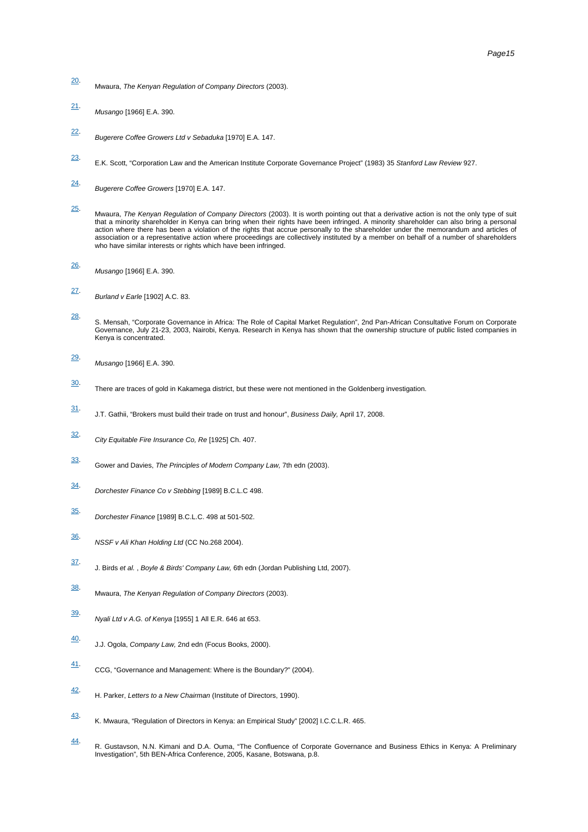- <span id="page-14-0"></span>[20.](#page--1-0) Mwaura, The Kenyan Regulation of Company Directors (2003).
- <span id="page-14-1"></span>[21.](#page--1-0) Musango [1966] E.A. 390.
- <span id="page-14-2"></span>[22.](#page--1-0) Bugerere Coffee Growers Ltd v Sebaduka [1970] E.A. 147.
- <span id="page-14-3"></span>[23.](#page--1-0) E.K. Scott, "Corporation Law and the American Institute Corporate Governance Project" (1983) 35 Stanford Law Review 927.
- <span id="page-14-4"></span>[24.](#page--1-0) Bugerere Coffee Growers [1970] E.A. 147.
- <span id="page-14-5"></span>[25.](#page--1-0) Mwaura, *The Kenyan Regulation of Company Director*s (2003). It is worth pointing out that a derivative action is not the only type of suit<br>that a minority shareholder in Kenya can bring when their rights have been infring action where there has been a violation of the rights that accrue personally to the shareholder under the memorandum and articles of association or a representative action where proceedings are collectively instituted by a member on behalf of a number of shareholders who have similar interests or rights which have been infringed.
- <span id="page-14-6"></span>[26.](#page--1-0) Musango [1966] E.A. 390.
- <span id="page-14-7"></span>[27.](#page--1-0) Burland v Earle [1902] A.C. 83.
- <span id="page-14-8"></span>[28.](#page--1-0) S. Mensah, "Corporate Governance in Africa: The Role of Capital Market Regulation", 2nd Pan-African Consultative Forum on Corporate Governance, July 21-23, 2003, Nairobi, Kenya. Research in Kenya has shown that the ownership structure of public listed companies in Kenya is concentrated.
- <span id="page-14-9"></span>[29.](#page--1-0) Musango [1966] E.A. 390.
- <span id="page-14-10"></span>[30.](#page--1-0) There are traces of gold in Kakamega district, but these were not mentioned in the Goldenberg investigation.
- <span id="page-14-11"></span>[31.](#page--1-0) J.T. Gathii, "Brokers must build their trade on trust and honour", Business Daily, April 17, 2008.
- <span id="page-14-12"></span>[32.](#page--1-0) City Equitable Fire Insurance Co, Re [1925] Ch. 407.
- <span id="page-14-13"></span>[33.](#page--1-0) Gower and Davies, The Principles of Modern Company Law, 7th edn (2003).
- <span id="page-14-14"></span>[34.](#page--1-0) Dorchester Finance Co v Stebbing [1989] B.C.L.C 498.
- <span id="page-14-15"></span>[35.](#page--1-0) Dorchester Finance [1989] B.C.L.C. 498 at 501-502.
- <span id="page-14-16"></span>[36.](#page--1-0) NSSF v Ali Khan Holding Ltd (CC No.268 2004).
- <span id="page-14-17"></span>[37.](#page--1-0) J. Birds et al. , Boyle & Birds' Company Law, 6th edn (Jordan Publishing Ltd, 2007).
- <span id="page-14-18"></span>[38.](#page--1-0) Mwaura, The Kenyan Regulation of Company Directors (2003).
- <span id="page-14-19"></span>[39.](#page--1-0) Nyali Ltd v A.G. of Kenya [1955] 1 All E.R. 646 at 653.
- <span id="page-14-20"></span>[40.](#page--1-0) J.J. Ogola, Company Law, 2nd edn (Focus Books, 2000).
- <span id="page-14-21"></span>[41.](#page--1-0) CCG, "Governance and Management: Where is the Boundary?" (2004).
- <span id="page-14-22"></span>[42.](#page--1-0) H. Parker, Letters to a New Chairman (Institute of Directors, 1990).
- <span id="page-14-23"></span>[43.](#page--1-0) K. Mwaura, "Regulation of Directors in Kenya: an Empirical Study" [2002] I.C.C.L.R. 465.
- <span id="page-14-24"></span>[44.](#page--1-0) R. Gustavson, N.N. Kimani and D.A. Ouma, "The Confluence of Corporate Governance and Business Ethics in Kenya: A Preliminary Investigation", 5th BEN-Africa Conference, 2005, Kasane, Botswana, p.8.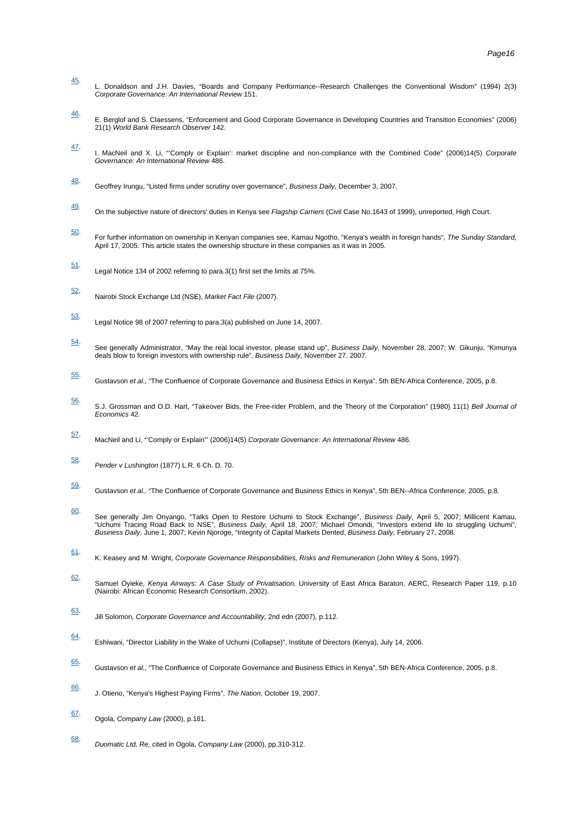- <span id="page-15-0"></span>[45.](#page--1-0) L. Donaldson and J.H. Davies, "Boards and Company Performance--Research Challenges the Conventional Wisdom" (1994) 2(3) Corporate Governance: An International Review 151.
- <span id="page-15-1"></span>[46.](#page--1-0) E. Berglof and S. Claessens, "Enforcement and Good Corporate Governance in Developing Countries and Transition Economies" (2006) 21(1) World Bank Research Observer 142.
- <span id="page-15-2"></span>[47.](#page--1-0) I. MacNeil and X. Li, "'Comply or Explain': market discipline and non-compliance with the Combined Code" (2006)14(5) Corporate Governance: An International Review 486.
- <span id="page-15-3"></span>[48.](#page--1-0) Geoffrey Irungu, "Listed firms under scrutiny over governance", Business Daily, December 3, 2007.
- <span id="page-15-4"></span>[49.](#page--1-0) On the subjective nature of directors' duties in Kenya see Flagship Carriers (Civil Case No.1643 of 1999), unreported, High Court.
- <span id="page-15-5"></span>[50.](#page--1-0) For further information on ownership in Kenyan companies see, Kamau Ngotho, "Kenya's wealth in foreign hands", The Sunday Standard, April 17, 2005. This article states the ownership structure in these companies as it was in 2005.
- <span id="page-15-6"></span>[51.](#page--1-0) Legal Notice 134 of 2002 referring to para.3(1) first set the limits at 75%.
- <span id="page-15-7"></span>[52.](#page--1-0) Nairobi Stock Exchange Ltd (NSE), Market Fact File (2007).
- <span id="page-15-8"></span>[53.](#page--1-0) Legal Notice 98 of 2007 referring to para.3(a) published on June 14, 2007.
- <span id="page-15-9"></span>[54.](#page--1-0) See generally Administrator, "May the real local investor, please stand up", *Business Daily,* November 28, 2007; W. Gikunju, "Kimunya<br>deals blow to foreign investors with ownership rule", *Business Daily,* November 27, 20
- <span id="page-15-10"></span>[55.](#page--1-0) Gustavson et al., "The Confluence of Corporate Governance and Business Ethics in Kenya", 5th BEN-Africa Conference, 2005, p.8.
- <span id="page-15-11"></span>[56.](#page--1-0) S.J. Grossman and O.D. Hart, "Takeover Bids, the Free-rider Problem, and the Theory of the Corporation" (1980) 11(1) Bell Journal of Economics 42.
- <span id="page-15-12"></span>[57.](#page--1-0) MacNeil and Li, "'Comply or Explain"' (2006)14(5) Corporate Governance: An International Review 486.
- <span id="page-15-13"></span>[58.](#page--1-0) Pender v Lushington (1877) L.R. 6 Ch. D. 70.
- <span id="page-15-14"></span>[59.](#page--1-0) Gustavson et al., "The Confluence of Corporate Governance and Business Ethics in Kenya", 5th BEN--Africa Conference, 2005, p.8.
- <span id="page-15-15"></span>[60.](#page--1-0) See generally Jim Onyango, "Talks Open to Restore Uchumi to Stock Exchange", *Business Daily,* April 5, 2007; Millicent Kamau,<br>"Uchumi Tracing Road Back to NSE", *Business Daily,* April 18, 2007; Michael Omondi, "Investors Business Daily, June 1, 2007; Kevin Njoroge, "Integrity of Capital Markets Dented, Business Daily, February 27, 2008.
- <span id="page-15-16"></span>[61.](#page--1-0) K. Keasey and M. Wright, Corporate Governance Responsibilities, Risks and Remuneration (John Wiley & Sons, 1997).
- <span id="page-15-17"></span>[62.](#page--1-0) Samuel Oyieke, *Kenya Airways: A Case Study of Privatisation,* University of East Africa Baraton, AERC, Research Paper 119, p.10<br>(Nairobi: African Economic Research Consortium, 2002).
- <span id="page-15-18"></span>[63.](#page--1-0) Jill Solomon, Corporate Governance and Accountability, 2nd edn (2007), p.112.
- <span id="page-15-19"></span>[64.](#page--1-0) Eshiwani, "Director Liability in the Wake of Uchumi (Collapse)", Institute of Directors (Kenya), July 14, 2006.
- <span id="page-15-20"></span>[65.](#page--1-0) Gustavson et al., "The Confluence of Corporate Governance and Business Ethics in Kenya", 5th BEN-Africa Conference, 2005, p.8.
- <span id="page-15-21"></span>[66.](#page--1-0) J. Otieno, "Kenya's Highest Paying Firms", The Nation, October 19, 2007.
- <span id="page-15-22"></span>[67.](#page--1-0) Ogola, Company Law (2000), p.181.
- <span id="page-15-23"></span>[68.](#page--1-0) Duomatic Ltd, Re, cited in Ogola, Company Law (2000), pp.310-312.